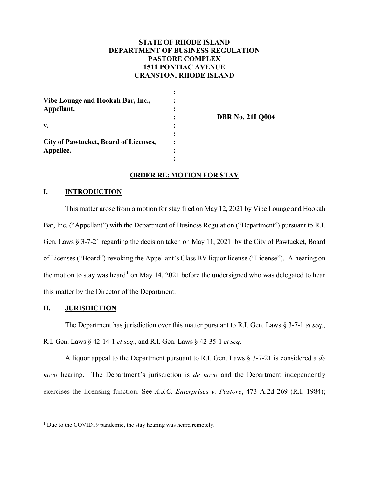# **STATE OF RHODE ISLAND DEPARTMENT OF BUSINESS REGULATION PASTORE COMPLEX 1511 PONTIAC AVENUE CRANSTON, RHODE ISLAND**

| Vibe Lounge and Hookah Bar, Inc.,<br>Appellant,           |  |
|-----------------------------------------------------------|--|
| v.                                                        |  |
| <b>City of Pawtucket, Board of Licenses,</b><br>Appellee. |  |

**\_\_\_\_\_\_\_\_\_\_\_\_\_\_\_\_\_\_\_\_\_\_\_\_\_\_\_\_\_\_\_\_\_\_\_\_**

**: DBR No. 21LQ004**

# **ORDER RE: MOTION FOR STAY**

## **I. INTRODUCTION**

This matter arose from a motion for stay filed on May 12, 2021 by Vibe Lounge and Hookah Bar, Inc. ("Appellant") with the Department of Business Regulation ("Department") pursuant to R.I. Gen. Laws § 3-7-21 regarding the decision taken on May 11, 2021 by the City of Pawtucket, Board of Licenses ("Board") revoking the Appellant's Class BV liquor license ("License"). A hearing on the motion to stay was heard<sup>[1](#page-0-0)</sup> on May 14, 2021 before the undersigned who was delegated to hear this matter by the Director of the Department.

#### **II. JURISDICTION**

The Department has jurisdiction over this matter pursuant to R.I. Gen. Laws § 3-7-1 *et seq*., R.I. Gen. Laws § 42-14-1 *et seq*., and R.I. Gen. Laws § 42-35-1 *et seq*.

A liquor appeal to the Department pursuant to R.I. Gen. Laws § 3-7-21 is considered a *de novo* hearing. The Department's jurisdiction is *de novo* and the Department independently exercises the licensing function. See *A.J.C. Enterprises v. Pastore*, 473 A.2d 269 (R.I. 1984);

<span id="page-0-0"></span><sup>&</sup>lt;sup>1</sup> Due to the COVID19 pandemic, the stay hearing was heard remotely.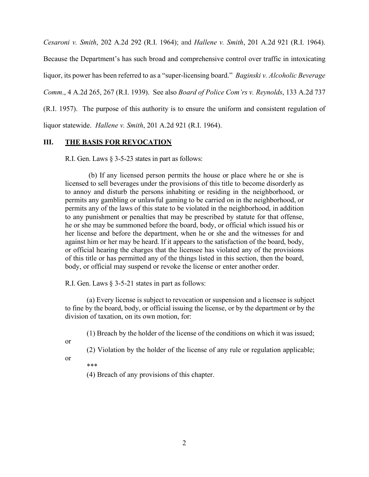*Cesaroni v. Smith*, 202 A.2d 292 (R.I. 1964); and *Hallene v. Smith*, 201 A.2d 921 (R.I. 1964).

Because the Department's has such broad and comprehensive control over traffic in intoxicating liquor, its power has been referred to as a "super-licensing board." *Baginski v. Alcoholic Beverage Comm*., 4 A.2d 265, 267 (R.I. 1939). See also *Board of Police Com'rs v. Reynolds*, 133 A.2d 737 (R.I. 1957). The purpose of this authority is to ensure the uniform and consistent regulation of liquor statewide. *Hallene v. Smith*, 201 A.2d 921 (R.I. 1964).

## **III. THE BASIS FOR REVOCATION**

R.I. Gen. Laws § 3-5-23 states in part as follows:

(b) If any licensed person permits the house or place where he or she is licensed to sell beverages under the provisions of this title to become disorderly as to annoy and disturb the persons inhabiting or residing in the neighborhood, or permits any gambling or unlawful gaming to be carried on in the neighborhood, or permits any of the laws of this state to be violated in the neighborhood, in addition to any punishment or penalties that may be prescribed by statute for that offense, he or she may be summoned before the board, body, or official which issued his or her license and before the department, when he or she and the witnesses for and against him or her may be heard. If it appears to the satisfaction of the board, body, or official hearing the charges that the licensee has violated any of the provisions of this title or has permitted any of the things listed in this section, then the board, body, or official may suspend or revoke the license or enter another order.

R.I. Gen. Laws § 3-5-21 states in part as follows:

(a) Every license is subject to revocation or suspension and a licensee is subject to fine by the board, body, or official issuing the license, or by the department or by the division of taxation, on its own motion, for:

(1) Breach by the holder of the license of the conditions on which it was issued;

or

(2) Violation by the holder of the license of any rule or regulation applicable;

or

\*\*\*

(4) Breach of any provisions of this chapter.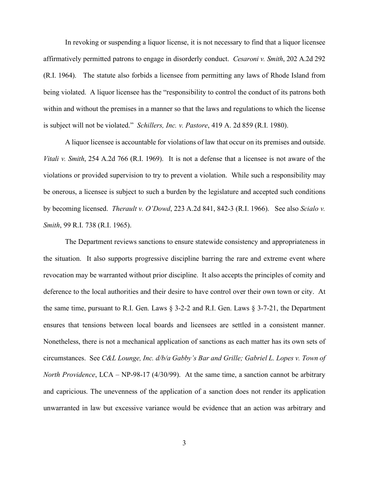In revoking or suspending a liquor license, it is not necessary to find that a liquor licensee affirmatively permitted patrons to engage in disorderly conduct. *Cesaroni v. Smith*, 202 A.2d 292 (R.I. 1964). The statute also forbids a licensee from permitting any laws of Rhode Island from being violated. A liquor licensee has the "responsibility to control the conduct of its patrons both within and without the premises in a manner so that the laws and regulations to which the license is subject will not be violated." *Schillers, Inc. v. Pastore*, 419 A. 2d 859 (R.I. 1980).

A liquor licensee is accountable for violations of law that occur on its premises and outside. *Vitali v. Smith*, 254 A.2d 766 (R.I. 1969). It is not a defense that a licensee is not aware of the violations or provided supervision to try to prevent a violation. While such a responsibility may be onerous, a licensee is subject to such a burden by the legislature and accepted such conditions by becoming licensed. *Therault v. O'Dowd*, 223 A.2d 841, 842-3 (R.I. 1966). See also *Scialo v. Smith*, 99 R.I. 738 (R.I. 1965).

The Department reviews sanctions to ensure statewide consistency and appropriateness in the situation. It also supports progressive discipline barring the rare and extreme event where revocation may be warranted without prior discipline. It also accepts the principles of comity and deference to the local authorities and their desire to have control over their own town or city. At the same time, pursuant to R.I. Gen. Laws § 3-2-2 and R.I. Gen. Laws § 3-7-21, the Department ensures that tensions between local boards and licensees are settled in a consistent manner. Nonetheless, there is not a mechanical application of sanctions as each matter has its own sets of circumstances. See *C&L Lounge, Inc. d/b/a Gabby's Bar and Grille; Gabriel L. Lopes v. Town of North Providence*, LCA – NP-98-17 (4/30/99). At the same time, a sanction cannot be arbitrary and capricious. The unevenness of the application of a sanction does not render its application unwarranted in law but excessive variance would be evidence that an action was arbitrary and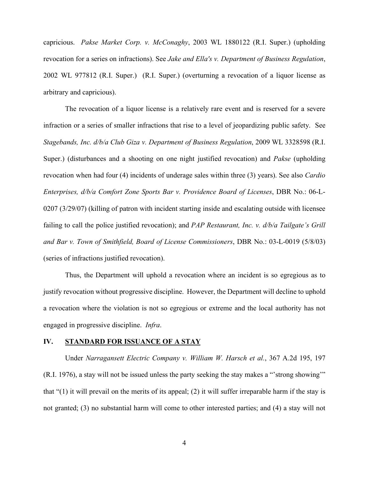capricious. *Pakse Market Corp. v. McConaghy*, 2003 WL 1880122 (R.I. Super.) (upholding revocation for a series on infractions). See *Jake and Ella's v. Department of Business Regulation*, 2002 WL 977812 (R.I. Super.) (R.I. Super.) (overturning a revocation of a liquor license as arbitrary and capricious).

The revocation of a liquor license is a relatively rare event and is reserved for a severe infraction or a series of smaller infractions that rise to a level of jeopardizing public safety. See *Stagebands, Inc. d/b/a Club Giza v. Department of Business Regulation*, 2009 WL 3328598 (R.I. Super.) (disturbances and a shooting on one night justified revocation) and *Pakse* (upholding revocation when had four (4) incidents of underage sales within three (3) years). See also *Cardio Enterprises, d/b/a Comfort Zone Sports Bar v. Providence Board of Licenses*, DBR No.: 06-L-0207 (3/29/07) (killing of patron with incident starting inside and escalating outside with licensee failing to call the police justified revocation); and *PAP Restaurant, Inc. v. d/b/a Tailgate's Grill and Bar v. Town of Smithfield, Board of License Commissioners*, DBR No.: 03-L-0019 (5/8/03) (series of infractions justified revocation).

Thus, the Department will uphold a revocation where an incident is so egregious as to justify revocation without progressive discipline. However, the Department will decline to uphold a revocation where the violation is not so egregious or extreme and the local authority has not engaged in progressive discipline. *Infra*.

## **IV. STANDARD FOR ISSUANCE OF A STAY**

Under *Narragansett Electric Company v. William W. Harsch et al.*, 367 A.2d 195, 197 (R.I. 1976), a stay will not be issued unless the party seeking the stay makes a "'strong showing'" that "(1) it will prevail on the merits of its appeal; (2) it will suffer irreparable harm if the stay is not granted; (3) no substantial harm will come to other interested parties; and (4) a stay will not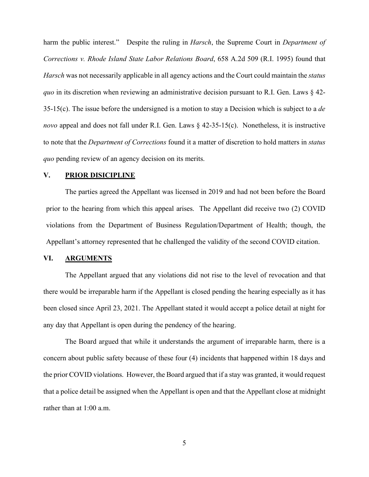harm the public interest." Despite the ruling in *Harsch*, the Supreme Court in *Department of Corrections v. Rhode Island State Labor Relations Board*, 658 A.2d 509 (R.I. 1995) found that *Harsch* was not necessarily applicable in all agency actions and the Court could maintain the *status quo* in its discretion when reviewing an administrative decision pursuant to R.I. Gen. Laws § 42- 35-15(c). The issue before the undersigned is a motion to stay a Decision which is subject to a *de novo* appeal and does not fall under R.I. Gen. Laws § 42-35-15(c). Nonetheless, it is instructive to note that the *Department of Corrections* found it a matter of discretion to hold matters in *status quo* pending review of an agency decision on its merits.

#### **V. PRIOR DISICIPLINE**

The parties agreed the Appellant was licensed in 2019 and had not been before the Board prior to the hearing from which this appeal arises. The Appellant did receive two (2) COVID violations from the Department of Business Regulation/Department of Health; though, the Appellant's attorney represented that he challenged the validity of the second COVID citation.

## **VI. ARGUMENTS**

The Appellant argued that any violations did not rise to the level of revocation and that there would be irreparable harm if the Appellant is closed pending the hearing especially as it has been closed since April 23, 2021. The Appellant stated it would accept a police detail at night for any day that Appellant is open during the pendency of the hearing.

The Board argued that while it understands the argument of irreparable harm, there is a concern about public safety because of these four (4) incidents that happened within 18 days and the prior COVID violations. However, the Board argued that if a stay was granted, it would request that a police detail be assigned when the Appellant is open and that the Appellant close at midnight rather than at 1:00 a.m.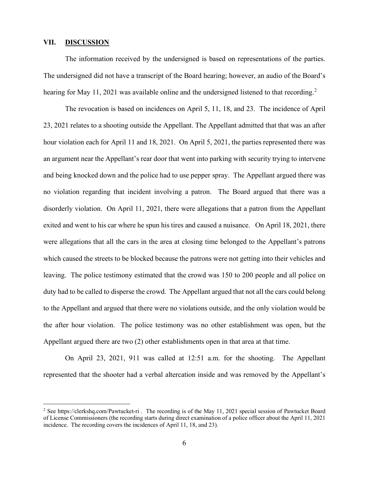#### **VII. DISCUSSION**

The information received by the undersigned is based on representations of the parties. The undersigned did not have a transcript of the Board hearing; however, an audio of the Board's hearing for May 11, [2](#page-5-0)021 was available online and the undersigned listened to that recording.<sup>2</sup>

The revocation is based on incidences on April 5, 11, 18, and 23. The incidence of April 23, 2021 relates to a shooting outside the Appellant. The Appellant admitted that that was an after hour violation each for April 11 and 18, 2021. On April 5, 2021, the parties represented there was an argument near the Appellant's rear door that went into parking with security trying to intervene and being knocked down and the police had to use pepper spray. The Appellant argued there was no violation regarding that incident involving a patron. The Board argued that there was a disorderly violation. On April 11, 2021, there were allegations that a patron from the Appellant exited and went to his car where he spun his tires and caused a nuisance. On April 18, 2021, there were allegations that all the cars in the area at closing time belonged to the Appellant's patrons which caused the streets to be blocked because the patrons were not getting into their vehicles and leaving. The police testimony estimated that the crowd was 150 to 200 people and all police on duty had to be called to disperse the crowd. The Appellant argued that not all the cars could belong to the Appellant and argued that there were no violations outside, and the only violation would be the after hour violation. The police testimony was no other establishment was open, but the Appellant argued there are two (2) other establishments open in that area at that time.

On April 23, 2021, 911 was called at 12:51 a.m. for the shooting. The Appellant represented that the shooter had a verbal altercation inside and was removed by the Appellant's

<span id="page-5-0"></span><sup>&</sup>lt;sup>2</sup> See<https://clerkshq.com/Pawtucket-ri>. The recording is of the May 11, 2021 special session of Pawtucket Board of License Commissioners (the recording starts during direct examination of a police officer about the April 11, 2021 incidence. The recording covers the incidences of April 11, 18, and 23).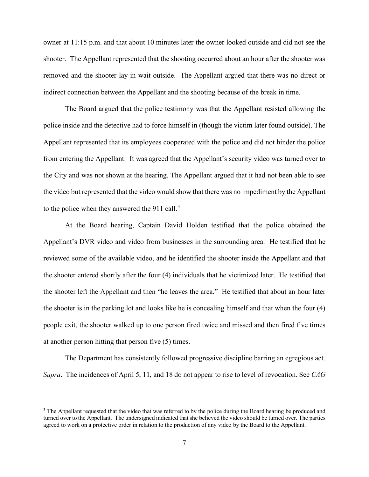owner at 11:15 p.m. and that about 10 minutes later the owner looked outside and did not see the shooter. The Appellant represented that the shooting occurred about an hour after the shooter was removed and the shooter lay in wait outside. The Appellant argued that there was no direct or indirect connection between the Appellant and the shooting because of the break in time.

The Board argued that the police testimony was that the Appellant resisted allowing the police inside and the detective had to force himself in (though the victim later found outside). The Appellant represented that its employees cooperated with the police and did not hinder the police from entering the Appellant. It was agreed that the Appellant's security video was turned over to the City and was not shown at the hearing. The Appellant argued that it had not been able to see the video but represented that the video would show that there was no impediment by the Appellant to the police when they answered the 911 call. $3$ 

At the Board hearing, Captain David Holden testified that the police obtained the Appellant's DVR video and video from businesses in the surrounding area. He testified that he reviewed some of the available video, and he identified the shooter inside the Appellant and that the shooter entered shortly after the four (4) individuals that he victimized later. He testified that the shooter left the Appellant and then "he leaves the area." He testified that about an hour later the shooter is in the parking lot and looks like he is concealing himself and that when the four (4) people exit, the shooter walked up to one person fired twice and missed and then fired five times at another person hitting that person five (5) times.

The Department has consistently followed progressive discipline barring an egregious act. *Supra*. The incidences of April 5, 11, and 18 do not appear to rise to level of revocation. See *CAG* 

<span id="page-6-0"></span><sup>&</sup>lt;sup>3</sup> The Appellant requested that the video that was referred to by the police during the Board hearing be produced and turned over to the Appellant. The undersigned indicated that she believed the video should be turned over. The parties agreed to work on a protective order in relation to the production of any video by the Board to the Appellant.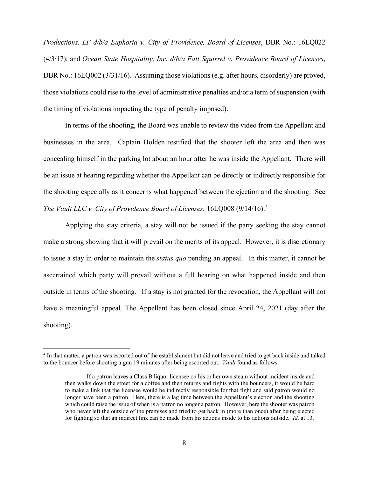*Productions, LP d/b/a Euphoria v. City of Providence, Board of Licenses*, DBR No.: 16LQ022 (4/3/17); and *Ocean State Hospitality, Inc. d/b/a Fatt Squirrel v. Providence Board of Licenses*, DBR No.: 16LQ002 (3/31/16). Assuming those violations (e.g. after hours, disorderly) are proved, those violations could rise to the level of administrative penalties and/or a term of suspension (with the timing of violations impacting the type of penalty imposed).

In terms of the shooting, the Board was unable to review the video from the Appellant and businesses in the area. Captain Holden testified that the shooter left the area and then was concealing himself in the parking lot about an hour after he was inside the Appellant. There will be an issue at hearing regarding whether the Appellant can be directly or indirectly responsible for the shooting especially as it concerns what happened between the ejection and the shooting. See *The Vault LLC v. City of Providence Board of Licenses*, 16LQ008 (9/14/16).[4](#page-7-0)

Applying the stay criteria, a stay will not be issued if the party seeking the stay cannot make a strong showing that it will prevail on the merits of its appeal. However, it is discretionary to issue a stay in order to maintain the *status quo* pending an appeal. In this matter, it cannot be ascertained which party will prevail without a full hearing on what happened inside and then outside in terms of the shooting. If a stay is not granted for the revocation, the Appellant will not have a meaningful appeal. The Appellant has been closed since April 24, 2021 (day after the shooting).

<span id="page-7-0"></span><sup>4</sup> In that matter, a patron was escorted out of the establishment but did not leave and tried to get back inside and talked to the bouncer before shooting a gun 19 minutes after being escorted out. *Vault* found as follows:

If a patron leaves a Class B liquor licensee on his or her own steam without incident inside and then walks down the street for a coffee and then returns and fights with the bouncers, it would be hard to make a link that the licensee would be indirectly responsible for that fight and said patron would no longer have been a patron. Here, there is a lag time between the Appellant's ejection and the shooting which could raise the issue of when is a patron no longer a patron. However, here the shooter was patron who never left the outside of the premises and tried to get back in (more than once) after being ejected for fighting so that an indirect link can be made from his actions inside to his actions outside. *Id*. at 13.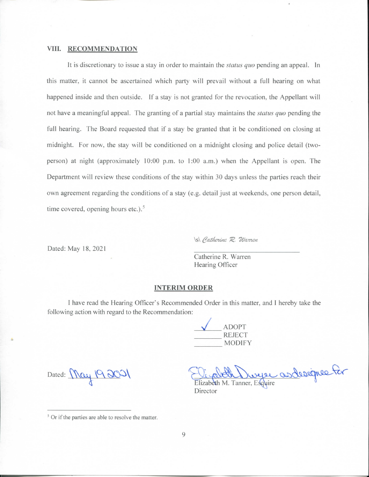#### **VIII. RECOMMENDATION**

It is discretionary to issue a stay in order to maintain the *status quo* pending an appeal. In this matter, it cannot be ascertained which party will prevail without a full hearing on what happened inside and then outside. If a stay is not granted for the revocation, the Appellant will not have a meaningful appeal. The granting of a partial stay maintains the *status quo* pending the full hearing. The Board requested that if a stay be granted that it be conditioned on closing at midnight. For now, the stay will be conditioned on a midnight closing and police detail (twoperson) at night (approximately 10:00 p.m. to 1:00 a.m.) when the Appellant is open. The Department will review these conditions of the stay within 30 days unless the parties reach their own agreement regarding the conditions of a stay (e.g. detail just at weekends, one person detail, time covered, opening hours etc.). $5$ 

\s\ Catherine R. Warren

Dated: May 18, 2021

Catherine R. Warren Hearing Officer

#### **INTERIM ORDER**

I have read the Hearing Officer's Recommended Order in this matter, and I hereby take the following action with regard to the Recommendation:

/ \_ ADOPT \_ REJECT MODIFY

Dated:  $\operatorname{Meq}$  19201

La Lurge as designe for

Director

<sup>&</sup>lt;sup>5</sup> Or if the parties are able to resolve the matter.